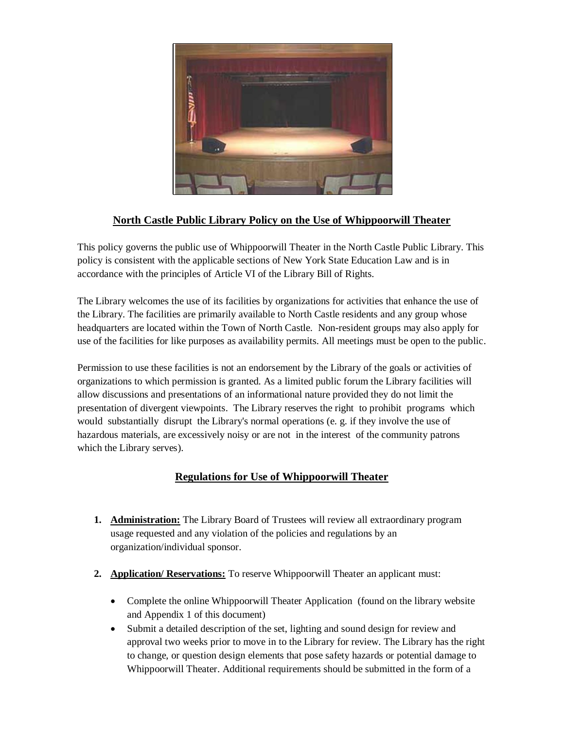

## **North Castle Public Library Policy on the Use of Whippoorwill Theater**

This policy governs the public use of Whippoorwill Theater in the North Castle Public Library. This policy is consistent with the applicable sections of New York State Education Law and is in accordance with the principles of Article VI of the Library Bill of Rights.

The Library welcomes the use of its facilities by organizations for activities that enhance the use of the Library. The facilities are primarily available to North Castle residents and any group whose headquarters are located within the Town of North Castle. Non-resident groups may also apply for use of the facilities for like purposes as availability permits. All meetings must be open to the public.

Permission to use these facilities is not an endorsement by the Library of the goals or activities of organizations to which permission is granted. As a limited public forum the Library facilities will allow discussions and presentations of an informational nature provided they do not limit the presentation of divergent viewpoints. The Library reserves the right to prohibit programs which would substantially disrupt the Library's normal operations (e. g. if they involve the use of hazardous materials, are excessively noisy or are not in the interest of the community patrons which the Library serves).

## **Regulations for Use of Whippoorwill Theater**

- **1. Administration:** The Library Board of Trustees will review all extraordinary program usage requested and any violation of the policies and regulations by an organization/individual sponsor.
- **2. Application/ Reservations:** To reserve Whippoorwill Theater an applicant must:
	- Complete the online Whippoorwill Theater Application (found on the library website and Appendix 1 of this document)
	- Submit a detailed description of the set, lighting and sound design for review and approval two weeks prior to move in to the Library for review. The Library has the right to change, or question design elements that pose safety hazards or potential damage to Whippoorwill Theater. Additional requirements should be submitted in the form of a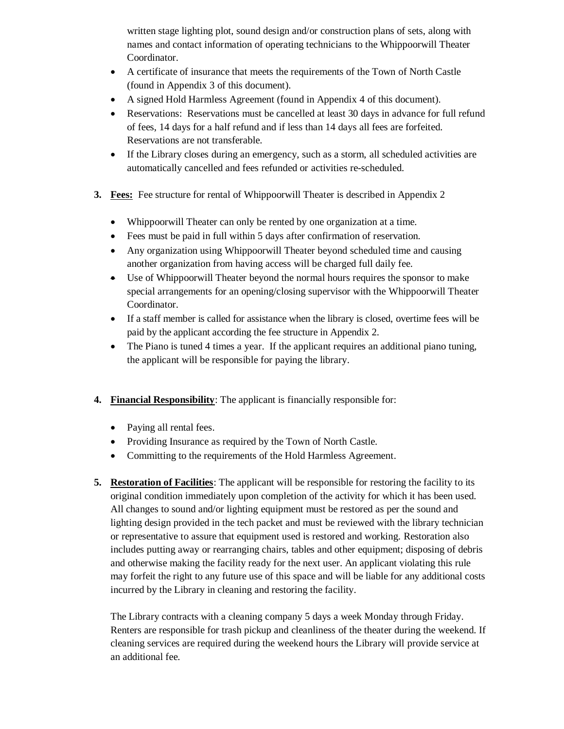written stage lighting plot, sound design and/or construction plans of sets, along with names and contact information of operating technicians to the Whippoorwill Theater Coordinator.

- A certificate of insurance that meets the requirements of the Town of North Castle (found in Appendix 3 of this document).
- A signed Hold Harmless Agreement (found in Appendix 4 of this document).
- Reservations: Reservations must be cancelled at least 30 days in advance for full refund of fees, 14 days for a half refund and if less than 14 days all fees are forfeited. Reservations are not transferable.
- If the Library closes during an emergency, such as a storm, all scheduled activities are automatically cancelled and fees refunded or activities re-scheduled.
- **3. Fees:** Fee structure for rental of Whippoorwill Theater is described in Appendix 2
	- Whippoorwill Theater can only be rented by one organization at a time.
	- Fees must be paid in full within 5 days after confirmation of reservation.
	- Any organization using Whippoorwill Theater beyond scheduled time and causing another organization from having access will be charged full daily fee.
	- Use of Whippoorwill Theater beyond the normal hours requires the sponsor to make special arrangements for an opening/closing supervisor with the Whippoorwill Theater Coordinator.
	- If a staff member is called for assistance when the library is closed, overtime fees will be paid by the applicant according the fee structure in Appendix 2.
	- The Piano is tuned 4 times a year. If the applicant requires an additional piano tuning, the applicant will be responsible for paying the library.
- **4. Financial Responsibility**: The applicant is financially responsible for:
	- Paying all rental fees.
	- Providing Insurance as required by the Town of North Castle.
	- Committing to the requirements of the Hold Harmless Agreement.
- **5. Restoration of Facilities**: The applicant will be responsible for restoring the facility to its original condition immediately upon completion of the activity for which it has been used. All changes to sound and/or lighting equipment must be restored as per the sound and lighting design provided in the tech packet and must be reviewed with the library technician or representative to assure that equipment used is restored and working. Restoration also includes putting away or rearranging chairs, tables and other equipment; disposing of debris and otherwise making the facility ready for the next user. An applicant violating this rule may forfeit the right to any future use of this space and will be liable for any additional costs incurred by the Library in cleaning and restoring the facility.

The Library contracts with a cleaning company 5 days a week Monday through Friday. Renters are responsible for trash pickup and cleanliness of the theater during the weekend. If cleaning services are required during the weekend hours the Library will provide service at an additional fee.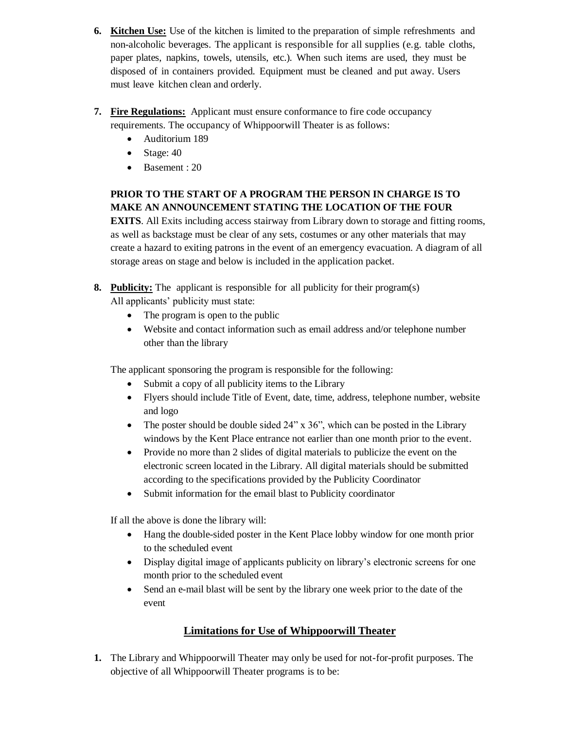- **6. Kitchen Use:** Use of the kitchen is limited to the preparation of simple refreshments and non-alcoholic beverages. The applicant is responsible for all supplies (e.g. table cloths, paper plates, napkins, towels, utensils, etc.). When such items are used, they must be disposed of in containers provided. Equipment must be cleaned and put away. Users must leave kitchen clean and orderly.
- **7. Fire Regulations:** Applicant must ensure conformance to fire code occupancy requirements. The occupancy of Whippoorwill Theater is as follows:
	- Auditorium 189
	- Stage:  $40$
	- Basement : 20

## **PRIOR TO THE START OF A PROGRAM THE PERSON IN CHARGE IS TO MAKE AN ANNOUNCEMENT STATING THE LOCATION OF THE FOUR**

**EXITS**. All Exits including access stairway from Library down to storage and fitting rooms, as well as backstage must be clear of any sets, costumes or any other materials that may create a hazard to exiting patrons in the event of an emergency evacuation. A diagram of all storage areas on stage and below is included in the application packet.

- **8. Publicity:** The applicant is responsible for all publicity for their program(s) All applicants' publicity must state:
	- The program is open to the public
	- Website and contact information such as email address and/or telephone number other than the library

The applicant sponsoring the program is responsible for the following:

- Submit a copy of all publicity items to the Library
- Flyers should include Title of Event, date, time, address, telephone number, website and logo
- The poster should be double sided 24" x 36", which can be posted in the Library windows by the Kent Place entrance not earlier than one month prior to the event.
- Provide no more than 2 slides of digital materials to publicize the event on the electronic screen located in the Library. All digital materials should be submitted according to the specifications provided by the Publicity Coordinator
- Submit information for the email blast to Publicity coordinator

If all the above is done the library will:

- Hang the double-sided poster in the Kent Place lobby window for one month prior to the scheduled event
- Display digital image of applicants publicity on library's electronic screens for one month prior to the scheduled event
- Send an e-mail blast will be sent by the library one week prior to the date of the event

## **Limitations for Use of Whippoorwill Theater**

**1.** The Library and Whippoorwill Theater may only be used for not-for-profit purposes. The objective of all Whippoorwill Theater programs is to be: